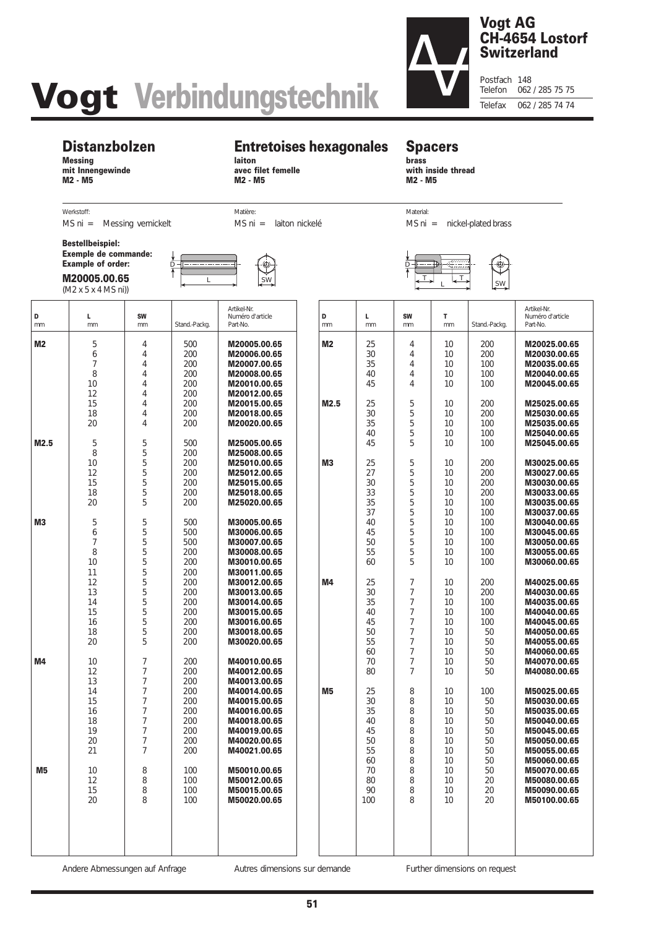# **Vogt Verbindungstechnik**

# **Vogt AG CH-4654 Lostorf Switzerland**

Postfach 148<br>Telefon 062 062 / 285 75 75 Telefax 062 / 285 74 74

## **Distanzbolzen**

**Messing mit Innengewinde M2 - M5**

# **Entretoises hexagonales**

**laiton avec filet femelle M2 - M5**

#### **Spacers brass with inside thread**

Material:

 $\Box$ 

MS ni = laiton nickelé

Matière:

**M2 - M5**

MS ni = nickel-plated brass

 $\overline{I}$   $\downarrow$   $\overline{I}$   $\downarrow$   $\overline{I}$   $\downarrow$  sw

Werkstoff: MS ni = Messing vernickelt

**Bestellbeispiel: Exemple de commande: Example of order:**

**M20005.00.65** (M2 x 5 x 4 MS ni))



| D<br>mm        | L<br>mm                                            | <b>SW</b><br>mm                                                                                                                                                | Stand.-Packg.                                               | Artikel-Nr.<br>Numéro d'article<br>Part-No.                                                                                                  | D<br>mm        | L.<br>mm                                     | <b>SW</b><br>mm                                                                          | T.<br>mm                                     | Stand.-Packg.                                     | Artikel-Nr.<br>Numéro d'article<br>Part-No.                                                                                  |
|----------------|----------------------------------------------------|----------------------------------------------------------------------------------------------------------------------------------------------------------------|-------------------------------------------------------------|----------------------------------------------------------------------------------------------------------------------------------------------|----------------|----------------------------------------------|------------------------------------------------------------------------------------------|----------------------------------------------|---------------------------------------------------|------------------------------------------------------------------------------------------------------------------------------|
| M2             | 5<br>6<br>7<br>8<br>10                             | 4<br>$\overline{4}$<br>$\overline{4}$<br>$\overline{4}$<br>$\overline{4}$                                                                                      | 500<br>200<br>200<br>200<br>200                             | M20005.00.65<br>M20006.00.65<br>M20007.00.65<br>M20008.00.65<br>M20010.00.65                                                                 | <b>M2</b>      | 25<br>30<br>35<br>40<br>45                   | 4<br>4<br>4<br>4<br>4                                                                    | 10<br>10<br>10<br>10<br>10                   | 200<br>200<br>100<br>100<br>100                   | M20025.00.65<br>M20030.00.65<br>M20035.00.65<br>M20040.00.65<br>M20045.00.65                                                 |
| M2.5           | 12<br>15<br>18<br>20<br>5                          | $\overline{4}$<br>$\overline{4}$<br>$\overline{4}$<br>$\overline{4}$<br>5                                                                                      | 200<br>200<br>200<br>200<br>500                             | M20012.00.65<br>M20015.00.65<br>M20018.00.65<br>M20020.00.65<br>M25005.00.65                                                                 | M2.5           | 25<br>30<br>35<br>40<br>45                   | 5<br>5<br>5<br>5<br>5                                                                    | 10<br>10<br>10<br>10<br>10                   | 200<br>200<br>100<br>100<br>100                   | M25025.00.65<br>M25030.00.65<br>M25035.00.65<br>M25040.00.65<br>M25045.00.65                                                 |
|                | 8<br>10<br>12<br>15<br>18<br>20                    | 5<br>5<br>5<br>5<br>5<br>5                                                                                                                                     | 200<br>200<br>200<br>200<br>200<br>200                      | M25008.00.65<br>M25010.00.65<br>M25012.00.65<br>M25015.00.65<br>M25018.00.65<br>M25020.00.65                                                 | M <sub>3</sub> | 25<br>27<br>30<br>33<br>35                   | 5<br>5<br>5<br>5<br>5                                                                    | 10<br>10<br>10<br>10<br>10                   | 200<br>200<br>200<br>200<br>100                   | M30025.00.65<br>M30027.00.65<br>M30030.00.65<br>M30033.00.65<br>M30035.00.65                                                 |
| M <sub>3</sub> | 5<br>6<br>7<br>8<br>10<br>11                       | 5<br>5<br>5<br>5<br>5<br>5                                                                                                                                     | 500<br>500<br>500<br>200<br>200<br>200                      | M30005.00.65<br>M30006.00.65<br>M30007.00.65<br>M30008.00.65<br>M30010.00.65<br>M30011.00.65                                                 |                | 37<br>40<br>45<br>50<br>55<br>60             | 5<br>5<br>5<br>5<br>5<br>5                                                               | 10<br>10<br>10<br>10<br>10<br>10             | 100<br>100<br>100<br>100<br>100<br>100            | M30037.00.65<br>M30040.00.65<br>M30045.00.65<br>M30050.00.65<br>M30055.00.65<br>M30060.00.65                                 |
|                | 12<br>13<br>14<br>15<br>16<br>18<br>20             | 5<br>5<br>5<br>5<br>5<br>5<br>5                                                                                                                                | 200<br>200<br>200<br>200<br>200<br>200<br>200               | M30012.00.65<br>M30013.00.65<br>M30014.00.65<br>M30015.00.65<br>M30016.00.65<br>M30018.00.65<br>M30020.00.65                                 | M4             | 25<br>30<br>35<br>40<br>45<br>50<br>55<br>60 | 7<br>7<br>$\overline{7}$<br>$\overline{7}$<br>7<br>$\overline{7}$<br>$\overline{7}$<br>7 | 10<br>10<br>10<br>10<br>10<br>10<br>10<br>10 | 200<br>200<br>100<br>100<br>100<br>50<br>50<br>50 | M40025.00.65<br>M40030.00.65<br>M40035.00.65<br>M40040.00.65<br>M40045.00.65<br>M40050.00.65<br>M40055.00.65<br>M40060.00.65 |
| M4             | 10<br>12<br>13<br>14<br>15<br>16<br>18<br>19<br>20 | $\overline{7}$<br>$\overline{7}$<br>$\overline{7}$<br>$\overline{7}$<br>$\overline{7}$<br>$\overline{7}$<br>$\overline{7}$<br>$\overline{7}$<br>$\overline{7}$ | 200<br>200<br>200<br>200<br>200<br>200<br>200<br>200<br>200 | M40010.00.65<br>M40012.00.65<br>M40013.00.65<br>M40014.00.65<br>M40015.00.65<br>M40016.00.65<br>M40018.00.65<br>M40019.00.65<br>M40020.00.65 | <b>M5</b>      | 70<br>80<br>25<br>30<br>35<br>40<br>45<br>50 | $\overline{7}$<br>$\overline{7}$<br>8<br>8<br>8<br>8<br>8<br>8                           | 10<br>10<br>10<br>10<br>10<br>10<br>10<br>10 | 50<br>50<br>100<br>50<br>50<br>50<br>50<br>50     | M40070.00.65<br>M40080.00.65<br>M50025.00.65<br>M50030.00.65<br>M50035.00.65<br>M50040.00.65<br>M50045.00.65<br>M50050.00.65 |
| M <sub>5</sub> | 21<br>10<br>12<br>15<br>20                         | $\overline{7}$<br>8<br>8<br>8<br>8                                                                                                                             | 200<br>100<br>100<br>100<br>100                             | M40021.00.65<br>M50010.00.65<br>M50012.00.65<br>M50015.00.65<br>M50020.00.65                                                                 |                | 55<br>60<br>70<br>80<br>90<br>100            | 8<br>8<br>8<br>8<br>8<br>8                                                               | 10<br>10<br>10<br>10<br>10<br>10             | 50<br>50<br>50<br>20<br>20<br>20                  | M50055.00.65<br>M50060.00.65<br>M50070.00.65<br>M50080.00.65<br>M50090.00.65<br>M50100.00.65                                 |
|                |                                                    |                                                                                                                                                                |                                                             |                                                                                                                                              |                |                                              |                                                                                          |                                              |                                                   |                                                                                                                              |

Andere Abmessungen auf Anfrage Autres dimensions sur demande Further dimensions on request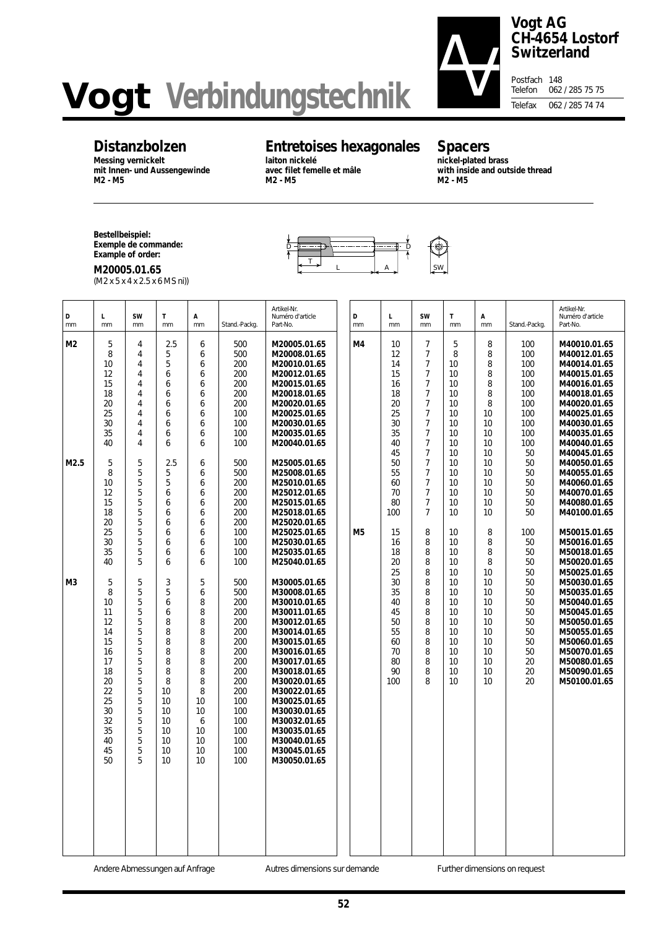# **Vogt Verbindungstechnik**



#### **Vogt AG CH-4654 Lostorf Switzerland**

Postfach 148<br>Telefon 062 062 / 285 75 75 Telefax 062 / 285 74 74

# **Distanzbolzen**

**Messing vernickelt mit Innen- und Aussengewinde M2 - M5**

# **Entretoises hexagonales**

D D

 $\begin{array}{c|c|c|c|c|c} \hline \text{I} & & & \text{A} & \text{SW} \end{array}$ 

**laiton nickelé avec filet femelle et mâle M2 - M5**

# **Spacers**

**nickel-plated brass with inside and outside thread M2 - M5**

**Bestellbeispiel: Exemple de commande: Example of order:**

**M20005.01.65** (M2 x 5 x 4 x 2.5 x 6 MS ni))

| D<br>mm        | L.<br>mm                                                                                                     | <b>SW</b><br>mm                                                                                                                                                          | T<br>mm                                                                                                                    | А<br>mm                                                                                           | Stand.-Packg.                                                                                                                     | Artikel-Nr.<br>Numéro d'article<br>Part-No.                                                                                                                                                                                                                                                                  | D<br>mm | г<br>mm                                                               | <b>SW</b><br>mm                                                                                                                                                                        | T.<br>mm                                                                                                                                                                                                            | А<br>mm                                                              | Stand.-Packg.                                                             | Artikel-Nr.<br>Numéro d'article<br>Part-No.                                                                                                                                                  |
|----------------|--------------------------------------------------------------------------------------------------------------|--------------------------------------------------------------------------------------------------------------------------------------------------------------------------|----------------------------------------------------------------------------------------------------------------------------|---------------------------------------------------------------------------------------------------|-----------------------------------------------------------------------------------------------------------------------------------|--------------------------------------------------------------------------------------------------------------------------------------------------------------------------------------------------------------------------------------------------------------------------------------------------------------|---------|-----------------------------------------------------------------------|----------------------------------------------------------------------------------------------------------------------------------------------------------------------------------------|---------------------------------------------------------------------------------------------------------------------------------------------------------------------------------------------------------------------|----------------------------------------------------------------------|---------------------------------------------------------------------------|----------------------------------------------------------------------------------------------------------------------------------------------------------------------------------------------|
| M <sub>2</sub> | 5<br>8<br>10<br>12<br>15<br>18<br>20<br>25<br>30<br>35<br>40                                                 | $\overline{4}$<br>$\overline{4}$<br>$\overline{4}$<br>$\overline{4}$<br>$\overline{4}$<br>$\overline{4}$<br>$\overline{4}$<br>4<br>$\overline{4}$<br>4<br>$\overline{4}$ | 2.5<br>5<br>5<br>6<br>6<br>6<br>6<br>6<br>6<br>6<br>6                                                                      | 6<br>6<br>6<br>6<br>6<br>6<br>6<br>6<br>6<br>6<br>6                                               | 500<br>500<br>200<br>200<br>200<br>200<br>200<br>100<br>100<br>100<br>100                                                         | M20005.01.65<br>M20008.01.65<br>M20010.01.65<br>M20012.01.65<br>M20015.01.65<br>M20018.01.65<br>M20020.01.65<br>M20025.01.65<br>M20030.01.65<br>M20035.01.65<br>M20040.01.65                                                                                                                                 | M4      | 10<br>12<br>14<br>15<br>16<br>18<br>20<br>25<br>30<br>35<br>40        | $\overline{7}$<br>7<br>$\overline{7}$<br>$\overline{7}$<br>$7\overline{ }$<br>$\overline{7}$<br>$\overline{7}$<br>$\overline{7}$<br>$\overline{7}$<br>$\overline{7}$<br>$\overline{7}$ | 5<br>8<br>10 <sup>°</sup><br>10 <sup>1</sup><br>10 <sup>1</sup><br>10 <sup>2</sup><br>10 <sup>°</sup><br>10 <sup>°</sup><br>10 <sup>1</sup><br>10 <sup>°</sup><br>10 <sup>°</sup>                                   | 8<br>8<br>8<br>8<br>8<br>8<br>8<br>10<br>10<br>10<br>10              | 100<br>100<br>100<br>100<br>100<br>100<br>100<br>100<br>100<br>100<br>100 | M40010.01.65<br>M40012.01.65<br>M40014.01.65<br>M40015.01.65<br>M40016.01.65<br>M40018.01.65<br>M40020.01.65<br>M40025.01.65<br>M40030.01.65<br>M40035.01.65<br>M40040.01.65                 |
| M2.5           | 5<br>8<br>10<br>12<br>15<br>18<br>20<br>25<br>30<br>35<br>40                                                 | 5<br>5<br>5<br>5<br>5<br>5<br>5<br>5<br>5<br>5<br>5                                                                                                                      | 2.5<br>5<br>5<br>6<br>6<br>6<br>6<br>6<br>6<br>6<br>6                                                                      | 6<br>6<br>6<br>6<br>6<br>6<br>6<br>6<br>6<br>6<br>6                                               | 500<br>500<br>200<br>200<br>200<br>200<br>200<br>100<br>100<br>100<br>100                                                         | M25005.01.65<br>M25008.01.65<br>M25010.01.65<br>M25012.01.65<br>M25015.01.65<br>M25018.01.65<br>M25020.01.65<br>M25025.01.65<br>M25030.01.65<br>M25035.01.65<br>M25040.01.65                                                                                                                                 | M5      | 45<br>50<br>55<br>60<br>70<br>80<br>100<br>15<br>16<br>18<br>20       | $\overline{7}$<br>$\overline{7}$<br>$\overline{7}$<br>$\overline{7}$<br>$\overline{7}$<br>$\overline{7}$<br>$7\overline{ }$<br>8<br>8<br>8<br>8                                        | 10 <sup>°</sup><br>10 <sup>1</sup><br>10 <sup>°</sup><br>10 <sup>°</sup><br>10 <sup>1</sup><br>10 <sup>1</sup><br>10 <sup>1</sup><br>10 <sup>1</sup><br>10 <sup>1</sup><br>10 <sup>1</sup><br>10 <sup>1</sup>       | 10<br>10<br>10<br>10<br>10<br>10<br>10<br>8<br>8<br>8<br>8           | 50<br>50<br>50<br>50<br>50<br>50<br>50<br>100<br>50<br>50<br>50           | M40045.01.65<br>M40050.01.65<br>M40055.01.65<br>M40060.01.65<br>M40070.01.65<br>M40080.01.65<br>M40100.01.65<br>M50015.01.65<br>M50016.01.65<br>M50018.01.65<br>M50020.01.65                 |
| M <sub>3</sub> | 5<br>8<br>10<br>11<br>12<br>14<br>15<br>16<br>17<br>18<br>20<br>22<br>25<br>30<br>32<br>35<br>40<br>45<br>50 | 5<br>5<br>5<br>5<br>5<br>5<br>5<br>5<br>5<br>5<br>5<br>5<br>5<br>5<br>5<br>5<br>5<br>5<br>5                                                                              | 3<br>5<br>6<br>6<br>8<br>8<br>8<br>8<br>8<br>8<br>8<br>10<br>10<br>10<br>10<br>10<br>10<br>$10^{\circ}$<br>10 <sup>1</sup> | 5<br>6<br>8<br>8<br>8<br>8<br>8<br>8<br>8<br>8<br>8<br>8<br>10<br>10<br>6<br>10<br>10<br>10<br>10 | 500<br>500<br>200<br>200<br>200<br>200<br>200<br>200<br>200<br>200<br>200<br>200<br>100<br>100<br>100<br>100<br>100<br>100<br>100 | M30005.01.65<br>M30008.01.65<br>M30010.01.65<br>M30011.01.65<br>M30012.01.65<br>M30014.01.65<br>M30015.01.65<br>M30016.01.65<br>M30017.01.65<br>M30018.01.65<br>M30020.01.65<br>M30022.01.65<br>M30025.01.65<br>M30030.01.65<br>M30032.01.65<br>M30035.01.65<br>M30040.01.65<br>M30045.01.65<br>M30050.01.65 |         | 25<br>30<br>35<br>40<br>45<br>50<br>55<br>60<br>70<br>80<br>90<br>100 | 8<br>8<br>8<br>8<br>8<br>8<br>8<br>8<br>8<br>8<br>8<br>8                                                                                                                               | 10 <sup>1</sup><br>10 <sup>°</sup><br>10 <sup>°</sup><br>10 <sup>°</sup><br>10<br>10 <sup>1</sup><br>10 <sup>°</sup><br>10 <sup>°</sup><br>10 <sup>1</sup><br>10 <sup>1</sup><br>10 <sup>°</sup><br>10 <sup>°</sup> | 10<br>10<br>10<br>10<br>10<br>10<br>10<br>10<br>10<br>10<br>10<br>10 | 50<br>50<br>50<br>50<br>50<br>50<br>50<br>50<br>50<br>20<br>20<br>20      | M50025.01.65<br>M50030.01.65<br>M50035.01.65<br>M50040.01.65<br>M50045.01.65<br>M50050.01.65<br>M50055.01.65<br>M50060.01.65<br>M50070.01.65<br>M50080.01.65<br>M50090.01.65<br>M50100.01.65 |

Andere Abmessungen auf Anfrage **Autres dimensions sur demande** Further dimensions on request